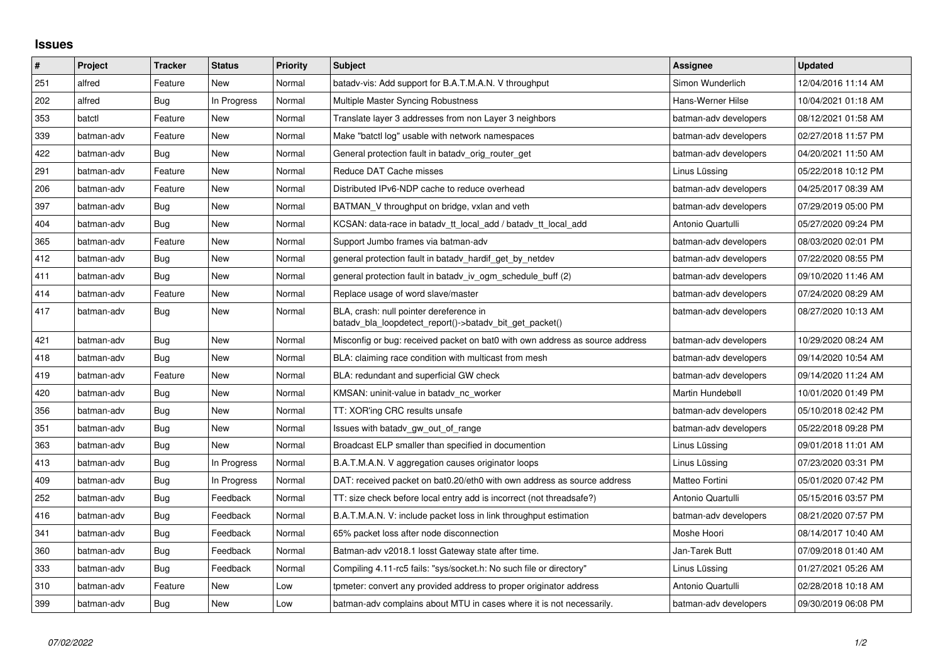## **Issues**

| $\vert$ # | Project    | <b>Tracker</b> | <b>Status</b> | <b>Priority</b> | <b>Subject</b>                                                                                     | Assignee              | <b>Updated</b>      |
|-----------|------------|----------------|---------------|-----------------|----------------------------------------------------------------------------------------------------|-----------------------|---------------------|
| 251       | alfred     | Feature        | New           | Normal          | batady-vis: Add support for B.A.T.M.A.N. V throughput                                              | Simon Wunderlich      | 12/04/2016 11:14 AM |
| 202       | alfred     | Bug            | In Progress   | Normal          | Multiple Master Syncing Robustness                                                                 | Hans-Werner Hilse     | 10/04/2021 01:18 AM |
| 353       | batctl     | Feature        | New           | Normal          | Translate layer 3 addresses from non Layer 3 neighbors                                             | batman-adv developers | 08/12/2021 01:58 AM |
| 339       | batman-adv | Feature        | <b>New</b>    | Normal          | Make "batctl log" usable with network namespaces                                                   | batman-adv developers | 02/27/2018 11:57 PM |
| 422       | batman-adv | Bug            | New           | Normal          | General protection fault in batady orig router get                                                 | batman-adv developers | 04/20/2021 11:50 AM |
| 291       | batman-adv | Feature        | New           | Normal          | Reduce DAT Cache misses                                                                            | Linus Lüssing         | 05/22/2018 10:12 PM |
| 206       | batman-adv | Feature        | New           | Normal          | Distributed IPv6-NDP cache to reduce overhead                                                      | batman-adv developers | 04/25/2017 08:39 AM |
| 397       | batman-adv | Bug            | New           | Normal          | BATMAN V throughput on bridge, vxlan and veth                                                      | batman-adv developers | 07/29/2019 05:00 PM |
| 404       | batman-adv | Bug            | <b>New</b>    | Normal          | KCSAN: data-race in batady tt local add / batady tt local add                                      | Antonio Quartulli     | 05/27/2020 09:24 PM |
| 365       | batman-adv | Feature        | New           | Normal          | Support Jumbo frames via batman-adv                                                                | batman-adv developers | 08/03/2020 02:01 PM |
| 412       | batman-adv | Bug            | New           | Normal          | general protection fault in batady hardif get by netdev                                            | batman-adv developers | 07/22/2020 08:55 PM |
| 411       | batman-adv | Bug            | New           | Normal          | general protection fault in batadv_iv_ogm_schedule_buff (2)                                        | batman-adv developers | 09/10/2020 11:46 AM |
| 414       | batman-adv | Feature        | New           | Normal          | Replace usage of word slave/master                                                                 | batman-adv developers | 07/24/2020 08:29 AM |
| 417       | batman-adv | Bug            | New           | Normal          | BLA, crash: null pointer dereference in<br>batady bla loopdetect report()->batady bit get packet() | batman-adv developers | 08/27/2020 10:13 AM |
| 421       | batman-adv | Bug            | <b>New</b>    | Normal          | Misconfig or bug: received packet on bat0 with own address as source address                       | batman-adv developers | 10/29/2020 08:24 AM |
| 418       | batman-adv | Bug            | New           | Normal          | BLA: claiming race condition with multicast from mesh                                              | batman-adv developers | 09/14/2020 10:54 AM |
| 419       | batman-adv | Feature        | New           | Normal          | BLA: redundant and superficial GW check                                                            | batman-adv developers | 09/14/2020 11:24 AM |
| 420       | batman-adv | Bug            | New           | Normal          | KMSAN: uninit-value in batady nc worker                                                            | Martin Hundebøll      | 10/01/2020 01:49 PM |
| 356       | batman-adv | Bug            | New           | Normal          | TT: XOR'ing CRC results unsafe                                                                     | batman-adv developers | 05/10/2018 02:42 PM |
| 351       | batman-adv | Bug            | New           | Normal          | Issues with batady gw out of range                                                                 | batman-adv developers | 05/22/2018 09:28 PM |
| 363       | batman-adv | Bug            | <b>New</b>    | Normal          | Broadcast ELP smaller than specified in documention                                                | Linus Lüssing         | 09/01/2018 11:01 AM |
| 413       | batman-adv | Bug            | In Progress   | Normal          | B.A.T.M.A.N. V aggregation causes originator loops                                                 | Linus Lüssing         | 07/23/2020 03:31 PM |
| 409       | batman-adv | Bug            | In Progress   | Normal          | DAT: received packet on bat0.20/eth0 with own address as source address                            | Matteo Fortini        | 05/01/2020 07:42 PM |
| 252       | batman-adv | Bug            | Feedback      | Normal          | TT: size check before local entry add is incorrect (not threadsafe?)                               | Antonio Quartulli     | 05/15/2016 03:57 PM |
| 416       | batman-adv | Bug            | Feedback      | Normal          | B.A.T.M.A.N. V: include packet loss in link throughput estimation                                  | batman-adv developers | 08/21/2020 07:57 PM |
| 341       | batman-adv | Bug            | Feedback      | Normal          | 65% packet loss after node disconnection                                                           | Moshe Hoori           | 08/14/2017 10:40 AM |
| 360       | batman-adv | Bug            | Feedback      | Normal          | Batman-adv v2018.1 losst Gateway state after time.                                                 | Jan-Tarek Butt        | 07/09/2018 01:40 AM |
| 333       | batman-adv | Bug            | Feedback      | Normal          | Compiling 4.11-rc5 fails: "sys/socket.h: No such file or directory"                                | Linus Lüssing         | 01/27/2021 05:26 AM |
| 310       | batman-adv | Feature        | New           | Low             | tpmeter: convert any provided address to proper originator address                                 | Antonio Quartulli     | 02/28/2018 10:18 AM |
| 399       | batman-adv | Bug            | New           | Low             | batman-adv complains about MTU in cases where it is not necessarily.                               | batman-adv developers | 09/30/2019 06:08 PM |